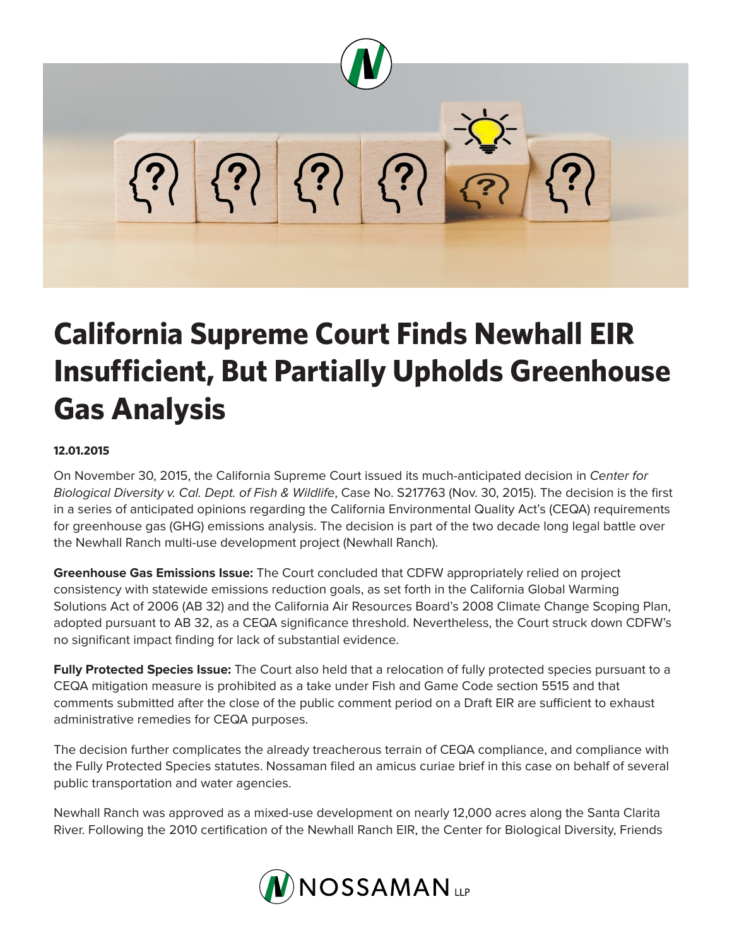

## **California Supreme Court Finds Newhall EIR Insufficient, But Partially Upholds Greenhouse Gas Analysis**

## **12.01.2015**

On November 30, 2015, the California Supreme Court issued its much-anticipated decision in *Center for Biological Diversity v. Cal. Dept. of Fish & Wildlife*, Case No. S217763 (Nov. 30, 2015). The decision is the first in a series of anticipated opinions regarding the California Environmental Quality Act's (CEQA) requirements for greenhouse gas (GHG) emissions analysis. The decision is part of the two decade long legal battle over the Newhall Ranch multi-use development project (Newhall Ranch).

**Greenhouse Gas Emissions Issue:** The Court concluded that CDFW appropriately relied on project consistency with statewide emissions reduction goals, as set forth in the California Global Warming Solutions Act of 2006 (AB 32) and the California Air Resources Board's 2008 Climate Change Scoping Plan, adopted pursuant to AB 32, as a CEQA significance threshold. Nevertheless, the Court struck down CDFW's no significant impact finding for lack of substantial evidence.

**Fully Protected Species Issue:** The Court also held that a relocation of fully protected species pursuant to a CEQA mitigation measure is prohibited as a take under Fish and Game Code section 5515 and that comments submitted after the close of the public comment period on a Draft EIR are sufficient to exhaust administrative remedies for CEQA purposes.

The decision further complicates the already treacherous terrain of CEQA compliance, and compliance with the Fully Protected Species statutes. Nossaman filed an amicus curiae brief in this case on behalf of several public transportation and water agencies.

Newhall Ranch was approved as a mixed-use development on nearly 12,000 acres along the Santa Clarita River. Following the 2010 certification of the Newhall Ranch EIR, the Center for Biological Diversity, Friends

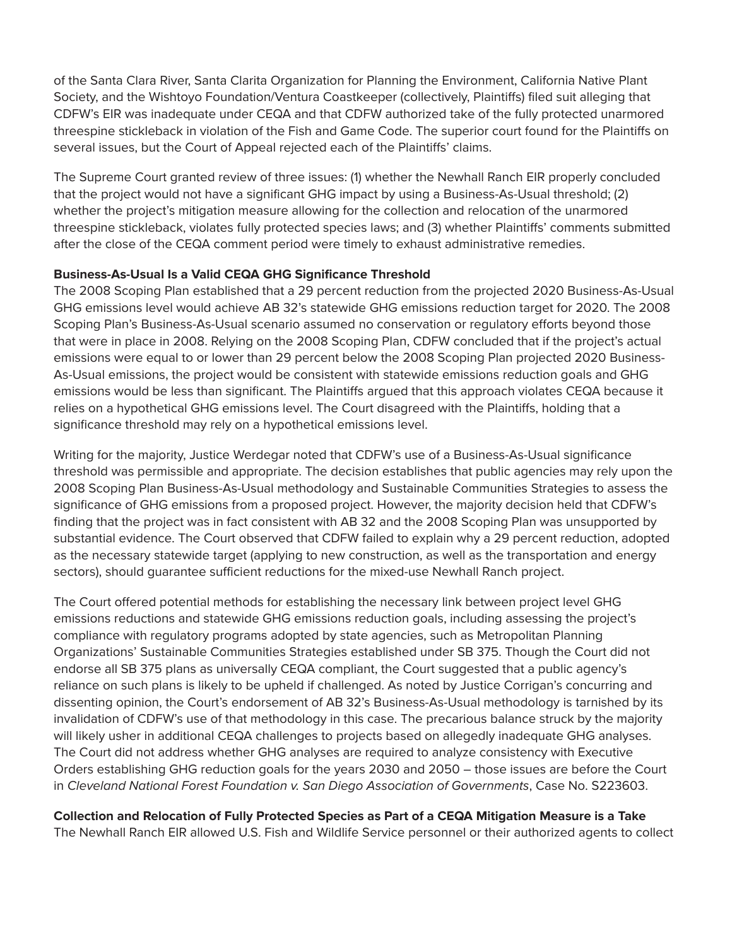of the Santa Clara River, Santa Clarita Organization for Planning the Environment, California Native Plant Society, and the Wishtoyo Foundation/Ventura Coastkeeper (collectively, Plaintiffs) filed suit alleging that CDFW's EIR was inadequate under CEQA and that CDFW authorized take of the fully protected unarmored threespine stickleback in violation of the Fish and Game Code. The superior court found for the Plaintiffs on several issues, but the Court of Appeal rejected each of the Plaintiffs' claims.

The Supreme Court granted review of three issues: (1) whether the Newhall Ranch EIR properly concluded that the project would not have a significant GHG impact by using a Business-As-Usual threshold; (2) whether the project's mitigation measure allowing for the collection and relocation of the unarmored threespine stickleback, violates fully protected species laws; and (3) whether Plaintiffs' comments submitted after the close of the CEQA comment period were timely to exhaust administrative remedies.

## **Business-As-Usual Is a Valid CEQA GHG Significance Threshold**

The 2008 Scoping Plan established that a 29 percent reduction from the projected 2020 Business-As-Usual GHG emissions level would achieve AB 32's statewide GHG emissions reduction target for 2020. The 2008 Scoping Plan's Business-As-Usual scenario assumed no conservation or regulatory efforts beyond those that were in place in 2008. Relying on the 2008 Scoping Plan, CDFW concluded that if the project's actual emissions were equal to or lower than 29 percent below the 2008 Scoping Plan projected 2020 Business-As-Usual emissions, the project would be consistent with statewide emissions reduction goals and GHG emissions would be less than significant. The Plaintiffs argued that this approach violates CEQA because it relies on a hypothetical GHG emissions level. The Court disagreed with the Plaintiffs, holding that a significance threshold may rely on a hypothetical emissions level.

Writing for the majority, Justice Werdegar noted that CDFW's use of a Business-As-Usual significance threshold was permissible and appropriate. The decision establishes that public agencies may rely upon the 2008 Scoping Plan Business-As-Usual methodology and Sustainable Communities Strategies to assess the significance of GHG emissions from a proposed project. However, the majority decision held that CDFW's finding that the project was in fact consistent with AB 32 and the 2008 Scoping Plan was unsupported by substantial evidence. The Court observed that CDFW failed to explain why a 29 percent reduction, adopted as the necessary statewide target (applying to new construction, as well as the transportation and energy sectors), should guarantee sufficient reductions for the mixed-use Newhall Ranch project.

The Court offered potential methods for establishing the necessary link between project level GHG emissions reductions and statewide GHG emissions reduction goals, including assessing the project's compliance with regulatory programs adopted by state agencies, such as Metropolitan Planning Organizations' Sustainable Communities Strategies established under SB 375. Though the Court did not endorse all SB 375 plans as universally CEQA compliant, the Court suggested that a public agency's reliance on such plans is likely to be upheld if challenged. As noted by Justice Corrigan's concurring and dissenting opinion, the Court's endorsement of AB 32's Business-As-Usual methodology is tarnished by its invalidation of CDFW's use of that methodology in this case. The precarious balance struck by the majority will likely usher in additional CEQA challenges to projects based on allegedly inadequate GHG analyses. The Court did not address whether GHG analyses are required to analyze consistency with Executive Orders establishing GHG reduction goals for the years 2030 and 2050 – those issues are before the Court in *Cleveland National Forest Foundation v. San Diego Association of Governments*, Case No. S223603.

**Collection and Relocation of Fully Protected Species as Part of a CEQA Mitigation Measure is a Take** The Newhall Ranch EIR allowed U.S. Fish and Wildlife Service personnel or their authorized agents to collect